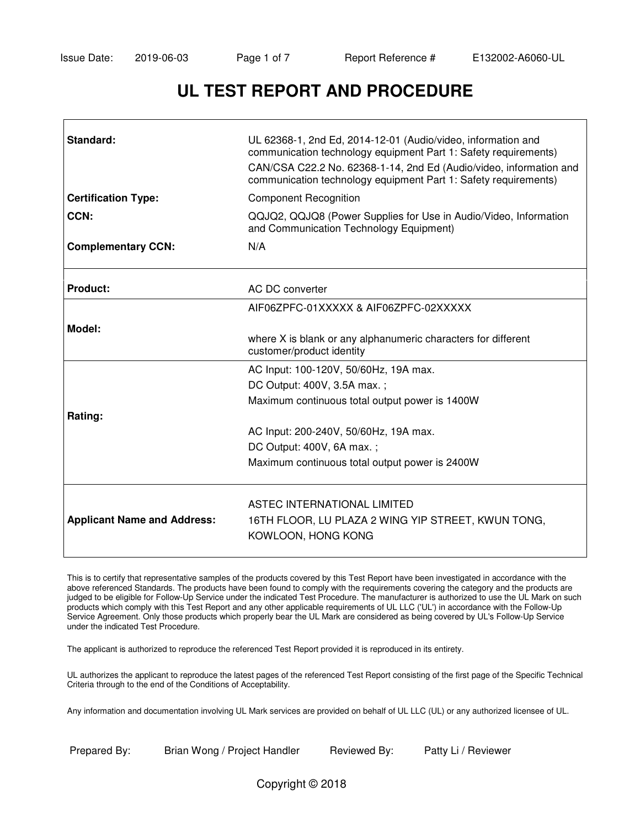# **UL TEST REPORT AND PROCEDURE**

| Standard:                          | UL 62368-1, 2nd Ed, 2014-12-01 (Audio/video, information and<br>communication technology equipment Part 1: Safety requirements)<br>CAN/CSA C22.2 No. 62368-1-14, 2nd Ed (Audio/video, information and<br>communication technology equipment Part 1: Safety requirements) |  |  |
|------------------------------------|--------------------------------------------------------------------------------------------------------------------------------------------------------------------------------------------------------------------------------------------------------------------------|--|--|
| <b>Certification Type:</b>         | <b>Component Recognition</b>                                                                                                                                                                                                                                             |  |  |
| CCN:                               | QQJQ2, QQJQ8 (Power Supplies for Use in Audio/Video, Information<br>and Communication Technology Equipment)                                                                                                                                                              |  |  |
| <b>Complementary CCN:</b>          | N/A                                                                                                                                                                                                                                                                      |  |  |
| Product:                           | AC DC converter                                                                                                                                                                                                                                                          |  |  |
|                                    | AIF06ZPFC-01XXXXX & AIF06ZPFC-02XXXXX                                                                                                                                                                                                                                    |  |  |
| Model:                             | where X is blank or any alphanumeric characters for different<br>customer/product identity                                                                                                                                                                               |  |  |
|                                    | AC Input: 100-120V, 50/60Hz, 19A max.                                                                                                                                                                                                                                    |  |  |
|                                    | DC Output: 400V, 3.5A max.;                                                                                                                                                                                                                                              |  |  |
|                                    | Maximum continuous total output power is 1400W                                                                                                                                                                                                                           |  |  |
| Rating:                            |                                                                                                                                                                                                                                                                          |  |  |
|                                    | AC Input: 200-240V, 50/60Hz, 19A max.                                                                                                                                                                                                                                    |  |  |
|                                    | DC Output: 400V, 6A max.;                                                                                                                                                                                                                                                |  |  |
|                                    | Maximum continuous total output power is 2400W                                                                                                                                                                                                                           |  |  |
| <b>Applicant Name and Address:</b> | ASTEC INTERNATIONAL LIMITED<br>16TH FLOOR, LU PLAZA 2 WING YIP STREET, KWUN TONG,<br>KOWLOON, HONG KONG                                                                                                                                                                  |  |  |

This is to certify that representative samples of the products covered by this Test Report have been investigated in accordance with the above referenced Standards. The products have been found to comply with the requirements covering the category and the products are judged to be eligible for Follow-Up Service under the indicated Test Procedure. The manufacturer is authorized to use the UL Mark on such products which comply with this Test Report and any other applicable requirements of UL LLC ('UL') in accordance with the Follow-Up Service Agreement. Only those products which properly bear the UL Mark are considered as being covered by UL's Follow-Up Service under the indicated Test Procedure.

The applicant is authorized to reproduce the referenced Test Report provided it is reproduced in its entirety.

UL authorizes the applicant to reproduce the latest pages of the referenced Test Report consisting of the first page of the Specific Technical Criteria through to the end of the Conditions of Acceptability.

Any information and documentation involving UL Mark services are provided on behalf of UL LLC (UL) or any authorized licensee of UL.

Prepared By: Brian Wong / Project Handler Reviewed By: Patty Li / Reviewer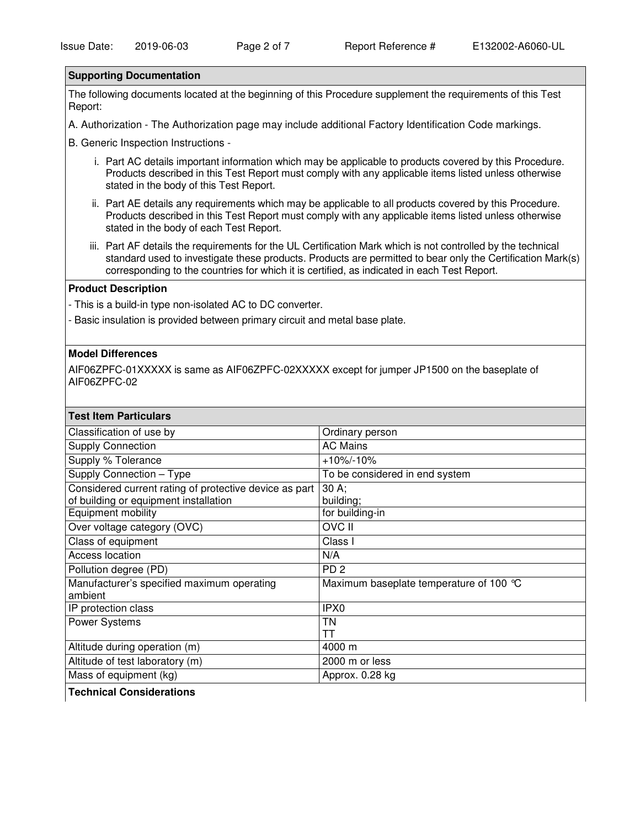#### **Supporting Documentation**

The following documents located at the beginning of this Procedure supplement the requirements of this Test Report:

A. Authorization - The Authorization page may include additional Factory Identification Code markings.

B. Generic Inspection Instructions -

- i. Part AC details important information which may be applicable to products covered by this Procedure. Products described in this Test Report must comply with any applicable items listed unless otherwise stated in the body of this Test Report.
- ii. Part AE details any requirements which may be applicable to all products covered by this Procedure. Products described in this Test Report must comply with any applicable items listed unless otherwise stated in the body of each Test Report.
- iii. Part AF details the requirements for the UL Certification Mark which is not controlled by the technical standard used to investigate these products. Products are permitted to bear only the Certification Mark(s) corresponding to the countries for which it is certified, as indicated in each Test Report.

#### **Product Description**

- This is a build-in type non-isolated AC to DC converter.

- Basic insulation is provided between primary circuit and metal base plate.

#### **Model Differences**

AIF06ZPFC-01XXXXX is same as AIF06ZPFC-02XXXXX except for jumper JP1500 on the baseplate of AIF06ZPFC-02

| <b>Test Item Particulars</b>                           |                                         |
|--------------------------------------------------------|-----------------------------------------|
| Classification of use by                               | Ordinary person                         |
| <b>Supply Connection</b>                               | <b>AC Mains</b>                         |
| Supply % Tolerance                                     | $+10\% - 10\%$                          |
| Supply Connection - Type                               | To be considered in end system          |
| Considered current rating of protective device as part | $30 A$ ;                                |
| of building or equipment installation                  | building;                               |
| Equipment mobility                                     | for building-in                         |
| Over voltage category (OVC)                            | <b>OVC II</b>                           |
| Class of equipment                                     | Class I                                 |
| <b>Access location</b>                                 | N/A                                     |
| Pollution degree (PD)                                  | PD <sub>2</sub>                         |
| Manufacturer's specified maximum operating             | Maximum baseplate temperature of 100 °C |
| ambient                                                |                                         |
| IP protection class                                    | IPX0                                    |
| Power Systems                                          | TN                                      |
|                                                        | TT                                      |
| Altitude during operation (m)                          | 4000 m                                  |
| Altitude of test laboratory (m)                        | 2000 m or less                          |
| Mass of equipment (kg)                                 | Approx. 0.28 kg                         |
|                                                        |                                         |

**Technical Considerations**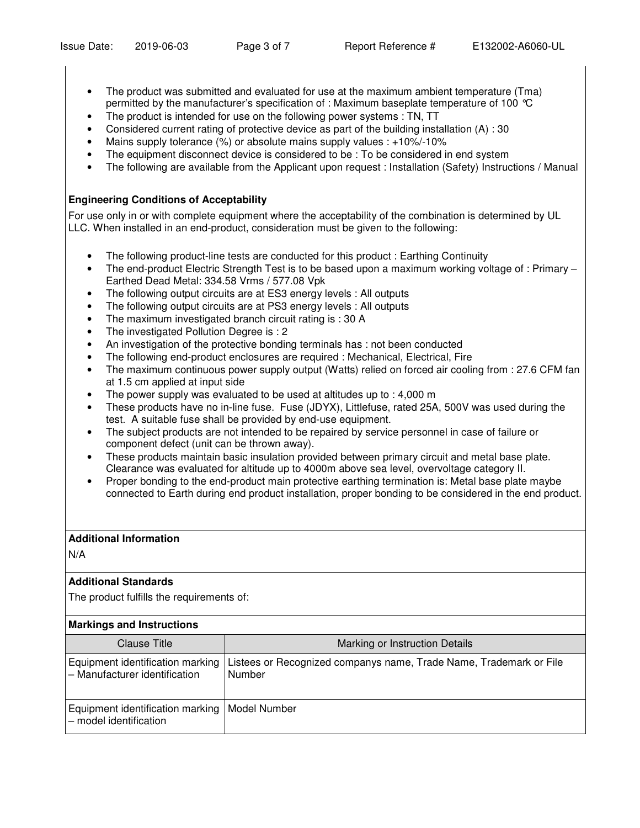- The product was submitted and evaluated for use at the maximum ambient temperature (Tma) permitted by the manufacturer's specification of : Maximum baseplate temperature of 100 °C
- The product is intended for use on the following power systems : TN, TT
- Considered current rating of protective device as part of the building installation (A) : 30
- Mains supply tolerance (%) or absolute mains supply values : +10%/-10%
- The equipment disconnect device is considered to be : To be considered in end system
- The following are available from the Applicant upon request : Installation (Safety) Instructions / Manual

# **Engineering Conditions of Acceptability**

For use only in or with complete equipment where the acceptability of the combination is determined by UL LLC. When installed in an end-product, consideration must be given to the following:

- The following product-line tests are conducted for this product: Earthing Continuity
- The end-product Electric Strength Test is to be based upon a maximum working voltage of : Primary Earthed Dead Metal: 334.58 Vrms / 577.08 Vpk
- The following output circuits are at ES3 energy levels : All outputs
- The following output circuits are at PS3 energy levels : All outputs
- The maximum investigated branch circuit rating is : 30 A
- The investigated Pollution Degree is : 2
- An investigation of the protective bonding terminals has : not been conducted
- The following end-product enclosures are required : Mechanical, Electrical, Fire
- The maximum continuous power supply output (Watts) relied on forced air cooling from : 27.6 CFM fan at 1.5 cm applied at input side
- The power supply was evaluated to be used at altitudes up to : 4,000 m
- These products have no in-line fuse. Fuse (JDYX), Littlefuse, rated 25A, 500V was used during the test. A suitable fuse shall be provided by end-use equipment.
- The subject products are not intended to be repaired by service personnel in case of failure or component defect (unit can be thrown away).
- These products maintain basic insulation provided between primary circuit and metal base plate. Clearance was evaluated for altitude up to 4000m above sea level, overvoltage category II.
- Proper bonding to the end-product main protective earthing termination is: Metal base plate maybe connected to Earth during end product installation, proper bonding to be considered in the end product.

# **Additional Information**

N/A

# **Additional Standards**

The product fulfills the requirements of:

# **Markings and Instructions**

| Clause Title                                                                | Marking or Instruction Details                                               |
|-----------------------------------------------------------------------------|------------------------------------------------------------------------------|
| Equipment identification marking<br>- Manufacturer identification           | Listees or Recognized companys name, Trade Name, Trademark or File<br>Number |
| Equipment identification marking   Model Number<br>l – model identification |                                                                              |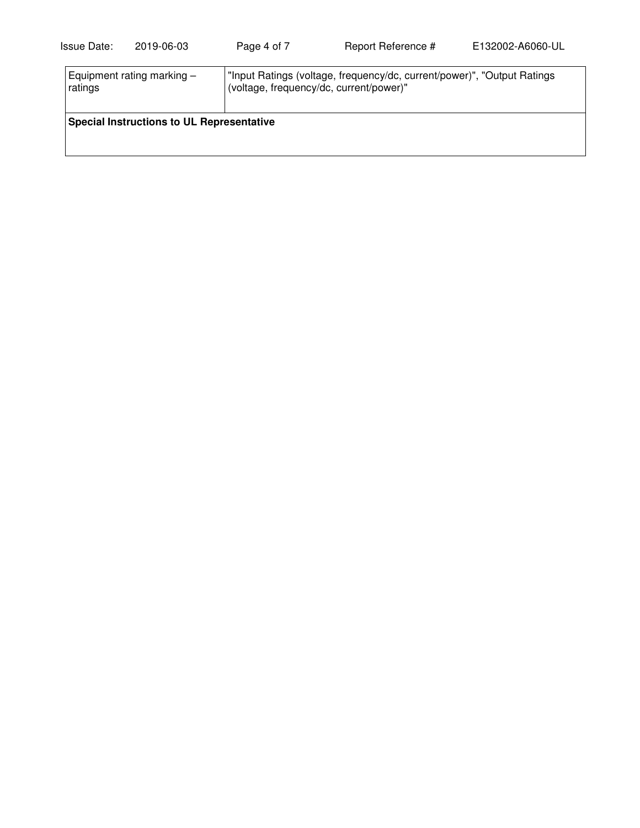| Equipment rating marking $-$                     | "Input Ratings (voltage, frequency/dc, current/power)", "Output Ratings" |  |  |  |
|--------------------------------------------------|--------------------------------------------------------------------------|--|--|--|
| ratings                                          | (voltage, frequency/dc, current/power)"                                  |  |  |  |
| <b>Special Instructions to UL Representative</b> |                                                                          |  |  |  |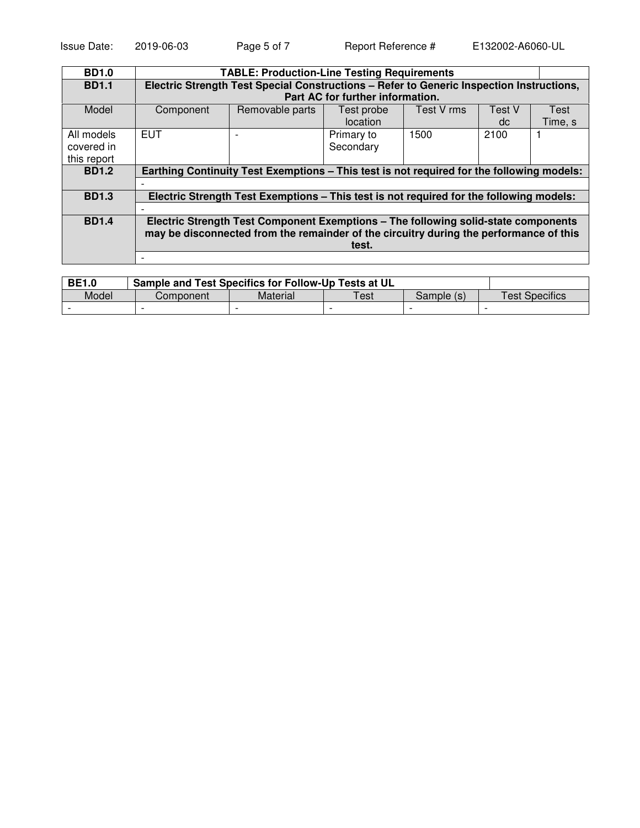| <b>BD1.0</b> | <b>TABLE: Production-Line Testing Requirements</b>                                        |                                  |            |            |        |         |
|--------------|-------------------------------------------------------------------------------------------|----------------------------------|------------|------------|--------|---------|
| <b>BD1.1</b> | Electric Strength Test Special Constructions - Refer to Generic Inspection Instructions,  |                                  |            |            |        |         |
|              |                                                                                           | Part AC for further information. |            |            |        |         |
| Model        | Component                                                                                 | Removable parts                  | Test probe | Test V rms | Test V | Test    |
|              |                                                                                           |                                  | location   |            | dc     | Time, s |
| All models   | <b>EUT</b>                                                                                |                                  | Primary to | 1500       | 2100   |         |
| covered in   |                                                                                           |                                  | Secondary  |            |        |         |
| this report  |                                                                                           |                                  |            |            |        |         |
| <b>BD1.2</b> | Earthing Continuity Test Exemptions – This test is not required for the following models: |                                  |            |            |        |         |
|              |                                                                                           |                                  |            |            |        |         |
| <b>BD1.3</b> | Electric Strength Test Exemptions – This test is not required for the following models:   |                                  |            |            |        |         |
|              | $\overline{\phantom{0}}$                                                                  |                                  |            |            |        |         |
| <b>BD1.4</b> | Electric Strength Test Component Exemptions - The following solid-state components        |                                  |            |            |        |         |
|              | may be disconnected from the remainder of the circuitry during the performance of this    |                                  |            |            |        |         |
|              | test.                                                                                     |                                  |            |            |        |         |
|              |                                                                                           |                                  |            |            |        |         |

| <b>BE1.0</b> | Sample and Test Specifics for Follow-Up Tests at UL |          |                       |            |                |
|--------------|-----------------------------------------------------|----------|-----------------------|------------|----------------|
| Model        | Component                                           | Material | $\tau_{\mathsf{est}}$ | Sample (s) | Test Specifics |
|              |                                                     |          |                       |            |                |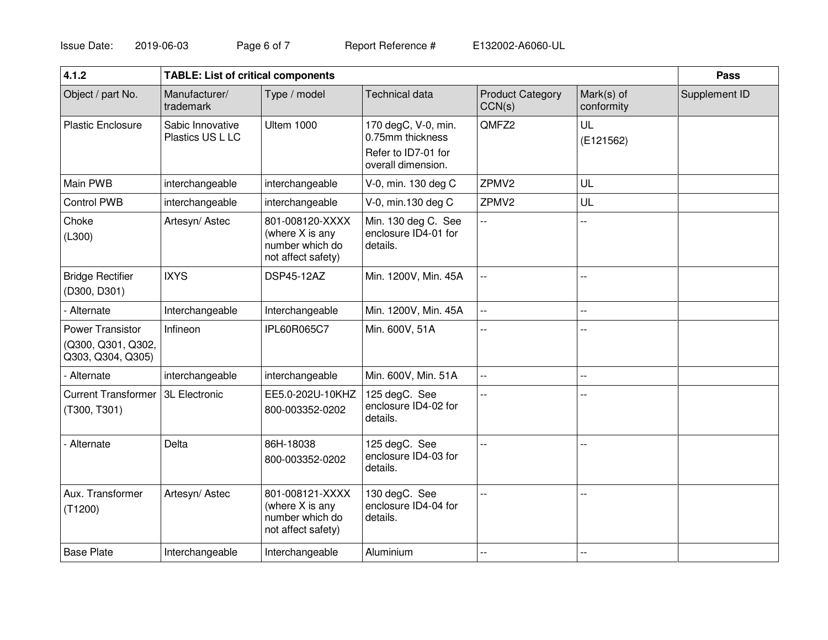Issue Date: 2019-06-03 Page 6 of 7 Report Reference #

E132002-A6060-UL

| 4.1.2                                                       | <b>TABLE: List of critical components</b> |                                                                             |                                                                                      |                                   | <b>Pass</b>              |               |
|-------------------------------------------------------------|-------------------------------------------|-----------------------------------------------------------------------------|--------------------------------------------------------------------------------------|-----------------------------------|--------------------------|---------------|
| Object / part No.                                           | Manufacturer/<br>trademark                | Type / model                                                                | Technical data                                                                       | <b>Product Category</b><br>CCN(s) | Mark(s) of<br>conformity | Supplement ID |
| <b>Plastic Enclosure</b>                                    | Sabic Innovative<br>Plastics US L LC      | <b>Ultem 1000</b>                                                           | 170 degC, V-0, min.<br>0.75mm thickness<br>Refer to ID7-01 for<br>overall dimension. | QMFZ2                             | UL<br>(E121562)          |               |
| Main PWB                                                    | interchangeable                           | interchangeable                                                             | V-0, min. 130 deg C                                                                  | ZPMV2                             | UL                       |               |
| <b>Control PWB</b>                                          | interchangeable                           | interchangeable                                                             | V-0, min.130 deg C                                                                   | ZPMV2                             | UL                       |               |
| Choke<br>(L300)                                             | Artesyn/Astec                             | 801-008120-XXXX<br>(where X is any<br>number which do<br>not affect safety) | Min. 130 deg C. See<br>enclosure ID4-01 for<br>details.                              | $\overline{\phantom{a}}$          |                          |               |
| <b>Bridge Rectifier</b><br>(D300, D301)                     | <b>IXYS</b>                               | <b>DSP45-12AZ</b>                                                           | Min. 1200V, Min. 45A                                                                 | --                                |                          |               |
| - Alternate                                                 | Interchangeable                           | Interchangeable                                                             | Min. 1200V, Min. 45A                                                                 | --                                | $-$                      |               |
| Power Transistor<br>(Q300, Q301, Q302,<br>Q303, Q304, Q305) | Infineon                                  | IPL60R065C7                                                                 | Min. 600V, 51A                                                                       |                                   |                          |               |
| - Alternate                                                 | interchangeable                           | interchangeable                                                             | Min. 600V, Min. 51A                                                                  | --                                | $-$                      |               |
| <b>Current Transformer</b><br>(T300, T301)                  | <b>3L Electronic</b>                      | EE5.0-202U-10KHZ<br>800-003352-0202                                         | 125 degC. See<br>enclosure ID4-02 for<br>details.                                    | --                                | --                       |               |
| Alternate                                                   | Delta                                     | 86H-18038<br>800-003352-0202                                                | 125 degC. See<br>enclosure ID4-03 for<br>details.                                    | $\overline{a}$                    |                          |               |
| Aux. Transformer<br>(T1200)                                 | Artesyn/Astec                             | 801-008121-XXXX<br>(where X is any<br>number which do<br>not affect safety) | 130 degC. See<br>enclosure ID4-04 for<br>details.                                    | --                                | $-$                      |               |
| <b>Base Plate</b>                                           | Interchangeable                           | Interchangeable                                                             | Aluminium                                                                            | н.                                | --                       |               |